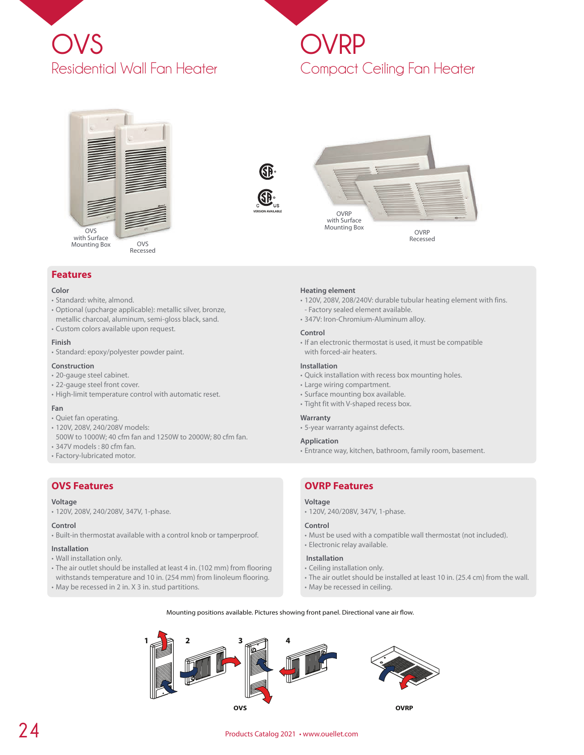

# **OVRP** Compact Ceiling Fan Heater







Recessed

# **Features**

#### **Color**

- Standard: white, almond.
- Optional (upcharge applicable): metallic silver, bronze,
- metallic charcoal, aluminum, semi-gloss black, sand. • Custom colors available upon request.

#### **Finish**

• Standard: epoxy/polyester powder paint.

#### **Construction**

- 20-gauge steel cabinet.
- 22-gauge steel front cover.
- High-limit temperature control with automatic reset.

#### **Fan**

- Quiet fan operating.
- 120V, 208V, 240/208V models:
- 500W to 1000W; 40 cfm fan and 1250W to 2000W; 80 cfm fan.
- 347V models : 80 cfm fan.
- Factory-lubricated motor.

# **OVS Features**

#### **Voltage**

• 120V, 208V, 240/208V, 347V, 1-phase.

#### **Control**

• Built-in thermostat available with a control knob or tamperproof.

#### **Installation**

- Wall installation only.
- The air outlet should be installed at least 4 in. (102 mm) from flooring withstands temperature and 10 in. (254 mm) from linoleum flooring.
- May be recessed in 2 in. X 3 in. stud partitions.

#### **Heating element**

- 120V, 208V, 208/240V: durable tubular heating element with fins. - Factory sealed element available.
- 347V: Iron-Chromium-Aluminum alloy.

#### **Control**

• If an electronic thermostat is used, it must be compatible with forced-air heaters.

#### **Installation**

- Quick installation with recess box mounting holes.
- Large wiring compartment.
- Surface mounting box available.
- Tight fit with V-shaped recess box.

#### **Warranty**

• 5-year warranty against defects.

#### **Application**

• Entrance way, kitchen, bathroom, family room, basement.

# **OVRP Features**

# **Voltage**

• 120V, 240/208V, 347V, 1-phase.

### **Control**

• Must be used with a compatible wall thermostat (not included). • Electronic relay available.

# **Installation**

- Ceiling installation only.
- The air outlet should be installed at least 10 in. (25.4 cm) from the wall.
- May be recessed in ceiling.





# **24** Products Catalog 2021 • www.ouellet.com